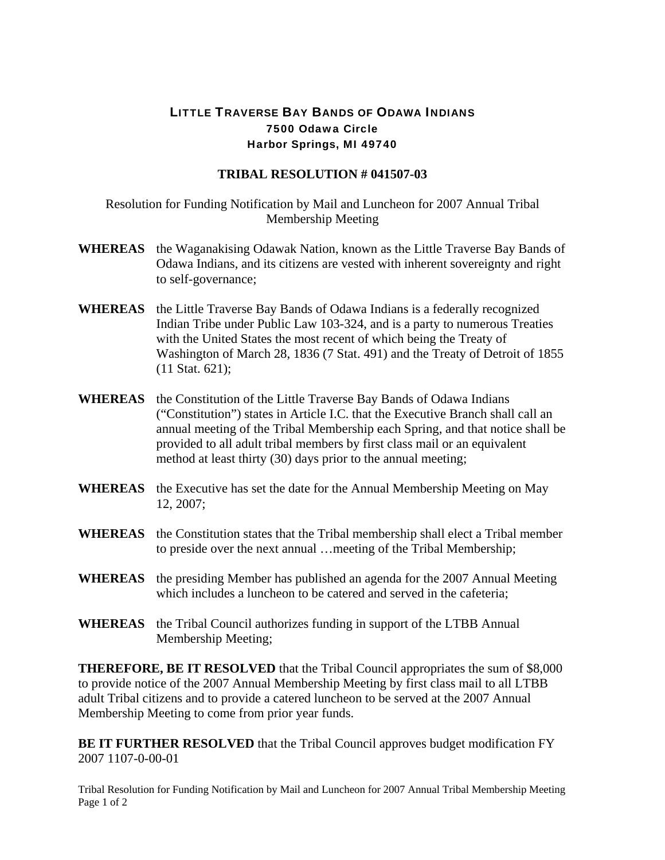## LITTLE TRAVERSE BAY BANDS OF ODAWA INDIANS 7500 Odawa Circle Harbor Springs, MI 49740

## **TRIBAL RESOLUTION # 041507-03**

Resolution for Funding Notification by Mail and Luncheon for 2007 Annual Tribal Membership Meeting

- **WHEREAS** the Waganakising Odawak Nation, known as the Little Traverse Bay Bands of Odawa Indians, and its citizens are vested with inherent sovereignty and right to self-governance;
- **WHEREAS** the Little Traverse Bay Bands of Odawa Indians is a federally recognized Indian Tribe under Public Law 103-324, and is a party to numerous Treaties with the United States the most recent of which being the Treaty of Washington of March 28, 1836 (7 Stat. 491) and the Treaty of Detroit of 1855 (11 Stat. 621);
- **WHEREAS** the Constitution of the Little Traverse Bay Bands of Odawa Indians ("Constitution") states in Article I.C. that the Executive Branch shall call an annual meeting of the Tribal Membership each Spring, and that notice shall be provided to all adult tribal members by first class mail or an equivalent method at least thirty (30) days prior to the annual meeting;
- **WHEREAS** the Executive has set the date for the Annual Membership Meeting on May 12, 2007;
- **WHEREAS** the Constitution states that the Tribal membership shall elect a Tribal member to preside over the next annual …meeting of the Tribal Membership;
- **WHEREAS** the presiding Member has published an agenda for the 2007 Annual Meeting which includes a luncheon to be catered and served in the cafeteria:
- **WHEREAS** the Tribal Council authorizes funding in support of the LTBB Annual Membership Meeting;

**THEREFORE, BE IT RESOLVED** that the Tribal Council appropriates the sum of \$8,000 to provide notice of the 2007 Annual Membership Meeting by first class mail to all LTBB adult Tribal citizens and to provide a catered luncheon to be served at the 2007 Annual Membership Meeting to come from prior year funds.

**BE IT FURTHER RESOLVED** that the Tribal Council approves budget modification FY 2007 1107-0-00-01

Tribal Resolution for Funding Notification by Mail and Luncheon for 2007 Annual Tribal Membership Meeting Page 1 of 2